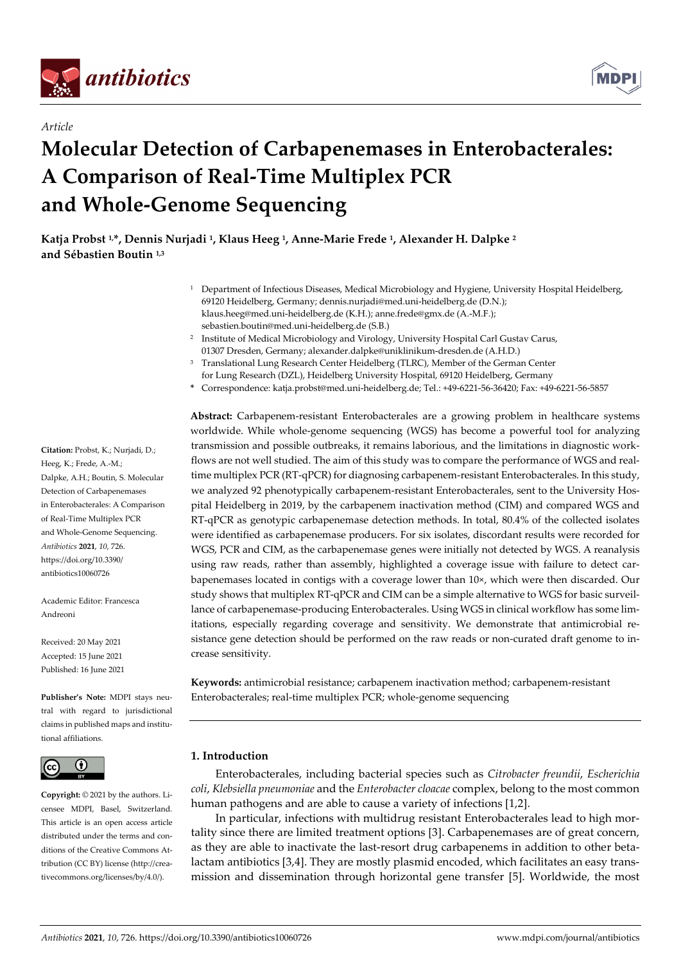

*Article*



# **Molecular Detection of Carbapenemases in Enterobacterales: A Comparison of Real-Time Multiplex PCR and Whole-Genome Sequencing**

**Katja Probst 1, \*, Dennis Nurjadi 1, Klaus Heeg 1, Anne-Marie Frede 1, Alexander H. Dalpke <sup>2</sup> and Sébastien Boutin 1,3**

- <sup>1</sup> Department of Infectious Diseases, Medical Microbiology and Hygiene, University Hospital Heidelberg, 69120 Heidelberg, Germany; dennis.nurjadi@med.uni-heidelberg.de (D.N.); klaus.heeg@med.uni-heidelberg.de (K.H.); anne.frede@gmx.de (A.-M.F.); sebastien.boutin@med.uni-heidelberg.de (S.B.)
- <sup>2</sup> Institute of Medical Microbiology and Virology, University Hospital Carl Gustav Carus, 01307 Dresden, Germany; alexander.dalpke@uniklinikum-dresden.de (A.H.D.)
- <sup>3</sup> Translational Lung Research Center Heidelberg (TLRC), Member of the German Center for Lung Research (DZL), Heidelberg University Hospital, 69120 Heidelberg, Germany
- **\*** Correspondence: katja.probst@med.uni-heidelberg.de; Tel.: +49-6221-56-36420; Fax: +49-6221-56-5857

**Abstract:** Carbapenem-resistant Enterobacterales are a growing problem in healthcare systems worldwide. While whole-genome sequencing (WGS) has become a powerful tool for analyzing transmission and possible outbreaks, it remains laborious, and the limitations in diagnostic workflows are not well studied. The aim of this study was to compare the performance of WGS and realtime multiplex PCR (RT-qPCR) for diagnosing carbapenem-resistant Enterobacterales. In this study, we analyzed 92 phenotypically carbapenem-resistant Enterobacterales, sent to the University Hospital Heidelberg in 2019, by the carbapenem inactivation method (CIM) and compared WGS and RT-qPCR as genotypic carbapenemase detection methods. In total, 80.4% of the collected isolates were identified as carbapenemase producers. For six isolates, discordant results were recorded for WGS, PCR and CIM, as the carbapenemase genes were initially not detected by WGS. A reanalysis using raw reads, rather than assembly, highlighted a coverage issue with failure to detect carbapenemases located in contigs with a coverage lower than 10×, which were then discarded. Our study shows that multiplex RT-qPCR and CIM can be a simple alternative to WGS for basic surveillance of carbapenemase-producing Enterobacterales. Using WGS in clinical workflow has some limitations, especially regarding coverage and sensitivity. We demonstrate that antimicrobial resistance gene detection should be performed on the raw reads or non-curated draft genome to increase sensitivity.

**Keywords:** antimicrobial resistance; carbapenem inactivation method; carbapenem-resistant Enterobacterales; real-time multiplex PCR; whole-genome sequencing

### **1. Introduction**

Enterobacterales, including bacterial species such as *Citrobacter freundii*, *Escherichia coli*, *Klebsiella pneumoniae* and the *Enterobacter cloacae* complex, belong to the most common human pathogens and are able to cause a variety of infections [1,2].

In particular, infections with multidrug resistant Enterobacterales lead to high mortality since there are limited treatment options [3]. Carbapenemases are of great concern, as they are able to inactivate the last-resort drug carbapenems in addition to other betalactam antibiotics [3,4]. They are mostly plasmid encoded, which facilitates an easy transmission and dissemination through horizontal gene transfer [5]. Worldwide, the most

**Citation:** Probst, K.; Nurjadi, D.; Heeg, K.; Frede, A.-M.; Dalpke, A.H.; Boutin, S. Molecular Detection of Carbapenemases in Enterobacterales: A Comparison of Real-Time Multiplex PCR and Whole-Genome Sequencing. *Antibiotics* **2021**, *10*, 726. https://doi.org/10.3390/ antibiotics10060726

Academic Editor: Francesca Andreoni

Received: 20 May 2021 Accepted: 15 June 2021 Published: 16 June 2021

**Publisher's Note:** MDPI stays neutral with regard to jurisdictional claims in published maps and institutional affiliations.



**Copyright:** © 2021 by the authors. Licensee MDPI, Basel, Switzerland. This article is an open access article distributed under the terms and conditions of the Creative Commons Attribution (CC BY) license (http://creativecommons.org/licenses/by/4.0/).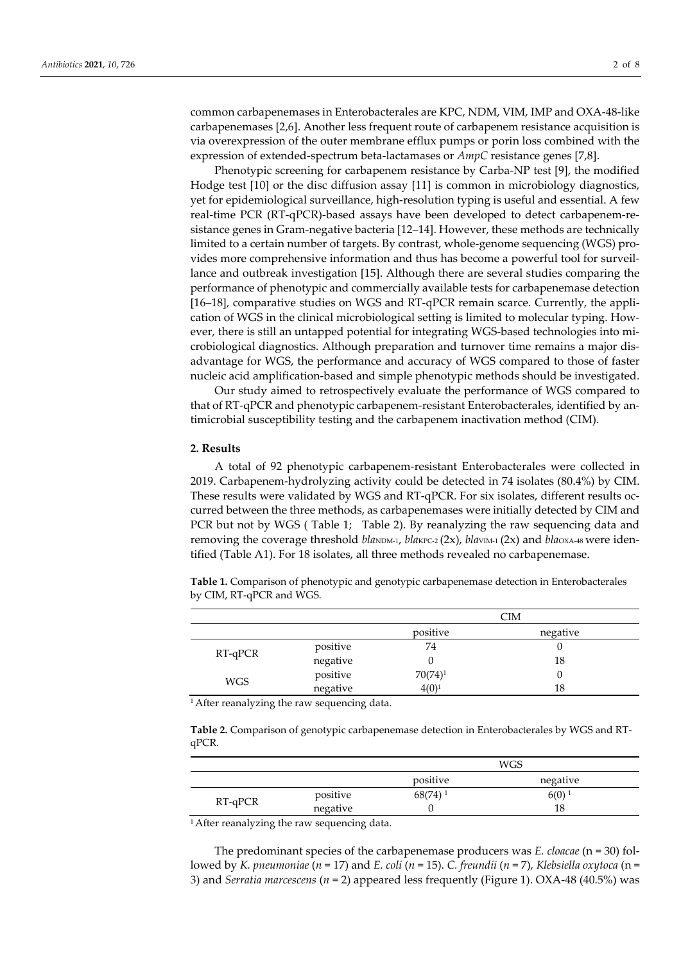common carbapenemases in Enterobacterales are KPC, NDM, VIM, IMP and OXA-48-like carbapenemases [2,6]. Another less frequent route of carbapenem resistance acquisition is via overexpression of the outer membrane efflux pumps or porin loss combined with the expression of extended-spectrum beta-lactamases or *AmpC* resistance genes [7,8].

Phenotypic screening for carbapenem resistance by Carba-NP test [9], the modified Hodge test [10] or the disc diffusion assay [11] is common in microbiology diagnostics, yet for epidemiological surveillance, high-resolution typing is useful and essential. A few real-time PCR (RT-qPCR)-based assays have been developed to detect carbapenem-resistance genes in Gram-negative bacteria [12–14]. However, these methods are technically limited to a certain number of targets. By contrast, whole-genome sequencing (WGS) provides more comprehensive information and thus has become a powerful tool for surveillance and outbreak investigation [15]. Although there are several studies comparing the performance of phenotypic and commercially available tests for carbapenemase detection [16–18], comparative studies on WGS and RT-qPCR remain scarce. Currently, the application of WGS in the clinical microbiological setting is limited to molecular typing. However, there is still an untapped potential for integrating WGS-based technologies into microbiological diagnostics. Although preparation and turnover time remains a major disadvantage for WGS, the performance and accuracy of WGS compared to those of faster nucleic acid amplification-based and simple phenotypic methods should be investigated.

Our study aimed to retrospectively evaluate the performance of WGS compared to that of RT-qPCR and phenotypic carbapenem-resistant Enterobacterales, identified by antimicrobial susceptibility testing and the carbapenem inactivation method (CIM).

#### **2. Results**

A total of 92 phenotypic carbapenem-resistant Enterobacterales were collected in 2019. Carbapenem-hydrolyzing activity could be detected in 74 isolates (80.4%) by CIM. These results were validated by WGS and RT-qPCR. For six isolates, different results occurred between the three methods, as carbapenemases were initially detected by CIM and PCR but not by WGS ( Table 1; Table 2). By reanalyzing the raw sequencing data and removing the coverage threshold *bla*NDM-1, *blakPC-2* (2x), *blaVIM-1* (2x) and *blaOXA-48* were identified (Table A1). For 18 isolates, all three methods revealed no carbapenemase.

**Table 1.** Comparison of phenotypic and genotypic carbapenemase detection in Enterobacterales by CIM, RT-qPCR and WGS.

|            |                      | CIM        |          |  |
|------------|----------------------|------------|----------|--|
|            |                      | positive   | negative |  |
|            | positive             | 74         |          |  |
| $RT-qPCR$  | negative             |            | 18       |  |
|            | positive<br>negative | $70(74)^1$ |          |  |
| <b>WGS</b> |                      | $4(0)^1$   | 18       |  |

<sup>1</sup> After reanalyzing the raw sequencing data.

**Table 2.** Comparison of genotypic carbapenemase detection in Enterobacterales by WGS and RTqPCR.

|         |          | WGS        |                     |  |
|---------|----------|------------|---------------------|--|
|         |          | positive   | negative            |  |
|         | positive | $68(74)^1$ | $6(0)$ <sup>1</sup> |  |
| RT-qPCR | negative | 18         |                     |  |

<sup>1</sup> After reanalyzing the raw sequencing data.

The predominant species of the carbapenemase producers was *E. cloacae* (n = 30) followed by *K. pneumoniae* (*n* = 17) and *E. coli* (*n* = 15). *C. freundii* (*n* = 7), *Klebsiella oxytoca* (n = 3) and *Serratia marcescens* (*n* = 2) appeared less frequently (Figure 1). OXA-48 (40.5%) was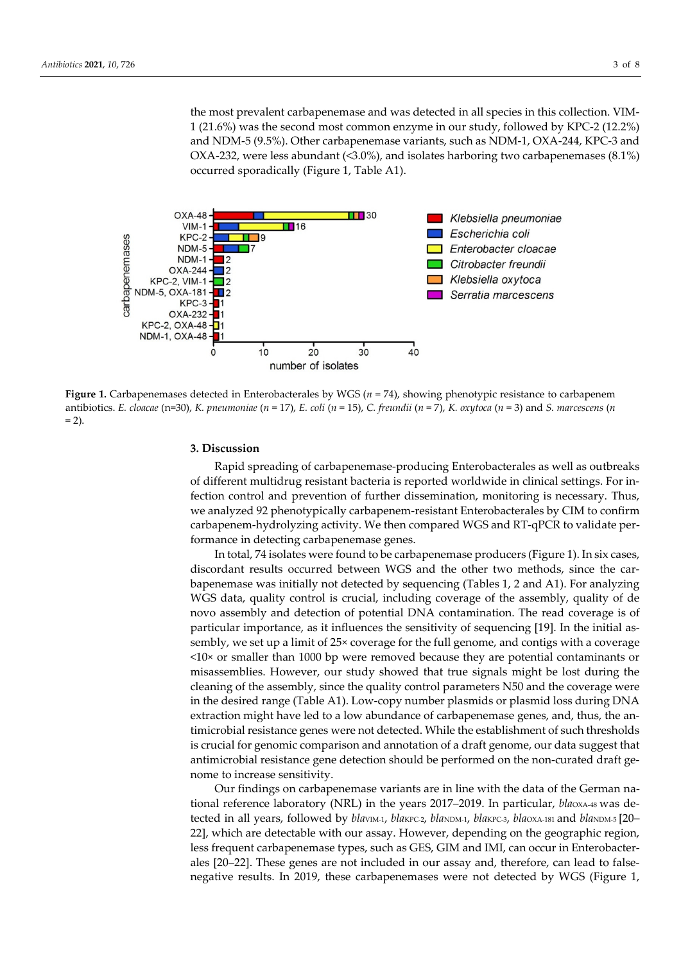the most prevalent carbapenemase and was detected in all species in this collection. VIM-1 (21.6%) was the second most common enzyme in our study, followed by KPC-2 (12.2%) and NDM-5 (9.5%). Other carbapenemase variants, such as NDM-1, OXA-244, KPC-3 and OXA-232, were less abundant (<3.0%), and isolates harboring two carbapenemases (8.1%) occurred sporadically (Figure 1, Table A1).



**Figure 1.** Carbapenemases detected in Enterobacterales by WGS ( $n = 74$ ), showing phenotypic resistance to carbapenem antibiotics. *E. cloacae* (n=30), *K. pneumoniae* (*n* = 17), *E. coli* (*n* = 15), *C. freundii* (*n* = 7), *K. oxytoca* (*n* = 3) and *S. marcescens* (*n*   $= 2$ ).

#### **3. Discussion**

Rapid spreading of carbapenemase-producing Enterobacterales as well as outbreaks of different multidrug resistant bacteria is reported worldwide in clinical settings. For infection control and prevention of further dissemination, monitoring is necessary. Thus, we analyzed 92 phenotypically carbapenem-resistant Enterobacterales by CIM to confirm carbapenem-hydrolyzing activity. We then compared WGS and RT-qPCR to validate performance in detecting carbapenemase genes.

In total, 74 isolates were found to be carbapenemase producers (Figure 1). In six cases, discordant results occurred between WGS and the other two methods, since the carbapenemase was initially not detected by sequencing (Tables 1, 2 and A1). For analyzing WGS data, quality control is crucial, including coverage of the assembly, quality of de novo assembly and detection of potential DNA contamination. The read coverage is of particular importance, as it influences the sensitivity of sequencing [19]. In the initial assembly, we set up a limit of 25× coverage for the full genome, and contigs with a coverage  $<10\times$  or smaller than 1000 bp were removed because they are potential contaminants or misassemblies. However, our study showed that true signals might be lost during the cleaning of the assembly, since the quality control parameters N50 and the coverage were in the desired range (Table A1). Low-copy number plasmids or plasmid loss during DNA extraction might have led to a low abundance of carbapenemase genes, and, thus, the antimicrobial resistance genes were not detected. While the establishment of such thresholds is crucial for genomic comparison and annotation of a draft genome, our data suggest that antimicrobial resistance gene detection should be performed on the non-curated draft genome to increase sensitivity.

Our findings on carbapenemase variants are in line with the data of the German national reference laboratory (NRL) in the years 2017–2019. In particular, *bla*oxA48 was detected in all years, followed by *blavIM-1*, *blaKPC-2*, *blaNDM-1*, *blaKPC-3*, *blaOXA-181* and *blaNDM-5* [20– 22], which are detectable with our assay. However, depending on the geographic region, less frequent carbapenemase types, such as GES, GIM and IMI, can occur in Enterobacterales [20–22]. These genes are not included in our assay and, therefore, can lead to falsenegative results. In 2019, these carbapenemases were not detected by WGS (Figure 1,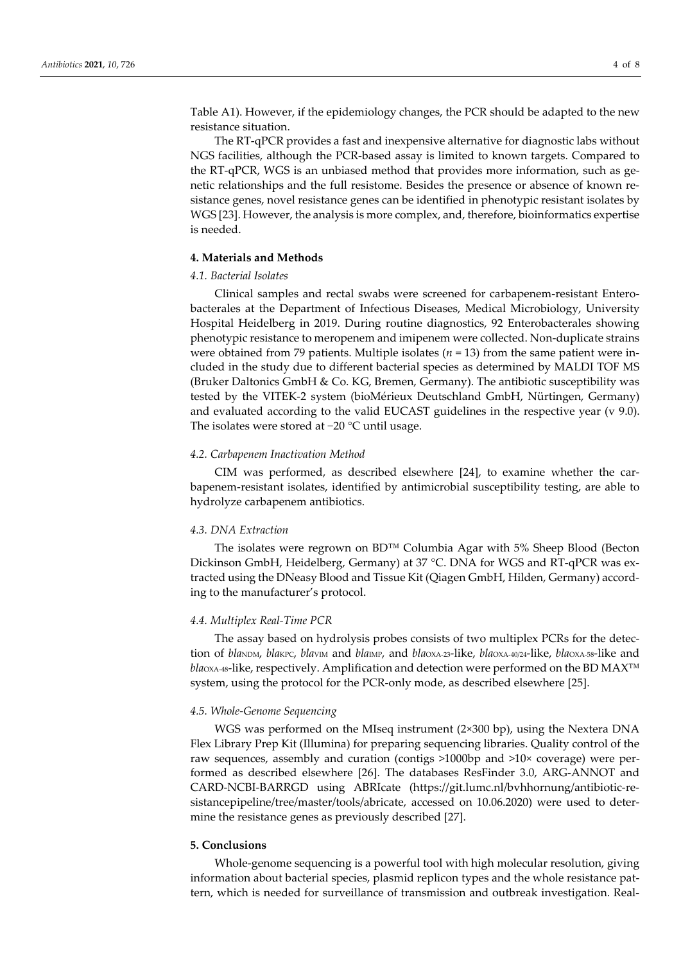Table A1). However, if the epidemiology changes, the PCR should be adapted to the new resistance situation.

The RT-qPCR provides a fast and inexpensive alternative for diagnostic labs without NGS facilities, although the PCR-based assay is limited to known targets. Compared to the RT-qPCR, WGS is an unbiased method that provides more information, such as genetic relationships and the full resistome. Besides the presence or absence of known resistance genes, novel resistance genes can be identified in phenotypic resistant isolates by WGS [23]. However, the analysis is more complex, and, therefore, bioinformatics expertise is needed.

# **4. Materials and Methods**

# *4.1. Bacterial Isolates*

Clinical samples and rectal swabs were screened for carbapenem-resistant Enterobacterales at the Department of Infectious Diseases, Medical Microbiology, University Hospital Heidelberg in 2019. During routine diagnostics, 92 Enterobacterales showing phenotypic resistance to meropenem and imipenem were collected. Non-duplicate strains were obtained from 79 patients. Multiple isolates ( $n = 13$ ) from the same patient were included in the study due to different bacterial species as determined by MALDI TOF MS (Bruker Daltonics GmbH & Co. KG, Bremen, Germany). The antibiotic susceptibility was tested by the VITEK-2 system (bioMérieux Deutschland GmbH, Nürtingen, Germany) and evaluated according to the valid EUCAST guidelines in the respective year (v 9.0). The isolates were stored at −20 °C until usage.

#### *4.2. Carbapenem Inactivation Method*

CIM was performed, as described elsewhere [24], to examine whether the carbapenem-resistant isolates, identified by antimicrobial susceptibility testing, are able to hydrolyze carbapenem antibiotics.

# *4.3. DNA Extraction*

The isolates were regrown on BD™ Columbia Agar with 5% Sheep Blood (Becton Dickinson GmbH, Heidelberg, Germany) at 37 °C. DNA for WGS and RT-qPCR was extracted using the DNeasy Blood and Tissue Kit (Qiagen GmbH, Hilden, Germany) according to the manufacturer's protocol.

### *4.4. Multiplex Real-Time PCR*

The assay based on hydrolysis probes consists of two multiplex PCRs for the detection of *bla*NDM, *bla*KPC, *bla*VIM and *bla*IMP, and *bla*OXA-23-like, *bla*OXA-40/24-like, *bla*OXA-58-like and *bla*<sub>OXA-48</sub>-like, respectively. Amplification and detection were performed on the BD MAX<sup>™</sup> system, using the protocol for the PCR-only mode, as described elsewhere [25].

#### *4.5. Whole-Genome Sequencing*

WGS was performed on the MIseq instrument (2×300 bp), using the Nextera DNA Flex Library Prep Kit (Illumina) for preparing sequencing libraries. Quality control of the raw sequences, assembly and curation (contigs >1000bp and >10× coverage) were performed as described elsewhere [26]. The databases ResFinder 3.0, ARG-ANNOT and CARD-NCBI-BARRGD using ABRIcate (https://git.lumc.nl/bvhhornung/antibiotic-resistancepipeline/tree/master/tools/abricate, accessed on 10.06.2020) were used to determine the resistance genes as previously described [27].

#### **5. Conclusions**

Whole-genome sequencing is a powerful tool with high molecular resolution, giving information about bacterial species, plasmid replicon types and the whole resistance pattern, which is needed for surveillance of transmission and outbreak investigation. Real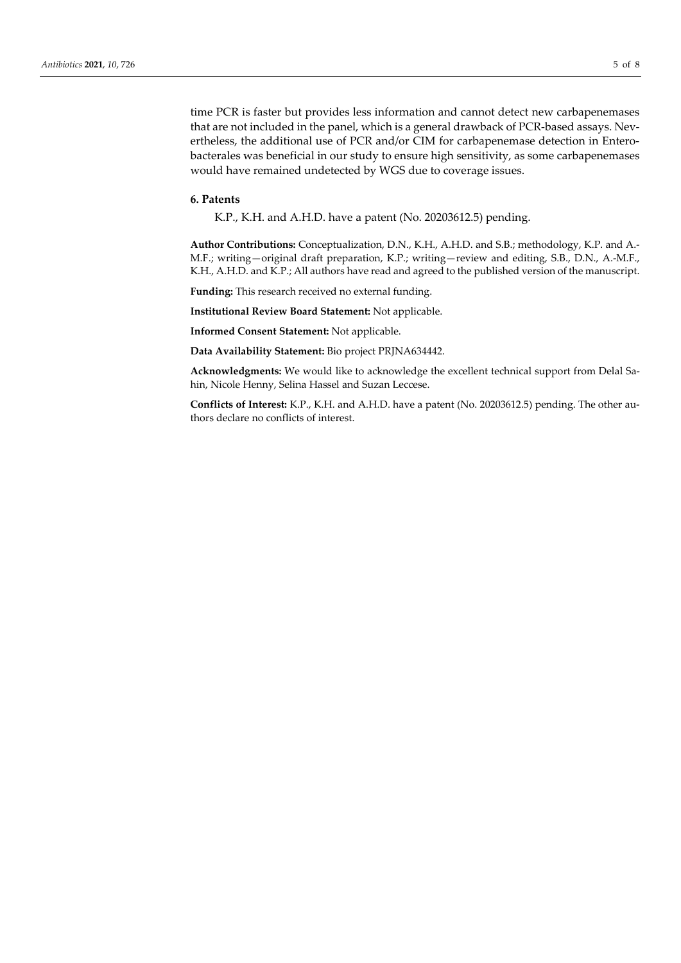time PCR is faster but provides less information and cannot detect new carbapenemases that are not included in the panel, which is a general drawback of PCR-based assays. Nevertheless, the additional use of PCR and/or CIM for carbapenemase detection in Enterobacterales was beneficial in our study to ensure high sensitivity, as some carbapenemases would have remained undetected by WGS due to coverage issues.

#### **6. Patents**

K.P., K.H. and A.H.D. have a patent (No. 20203612.5) pending.

**Author Contributions:** Conceptualization, D.N., K.H., A.H.D. and S.B.; methodology, K.P. and A.- M.F.; writing—original draft preparation, K.P.; writing—review and editing, S.B., D.N., A.-M.F., K.H., A.H.D. and K.P.; All authors have read and agreed to the published version of the manuscript.

**Funding:** This research received no external funding.

**Institutional Review Board Statement:** Not applicable.

**Informed Consent Statement:** Not applicable.

**Data Availability Statement:** Bio project PRJNA634442.

**Acknowledgments:** We would like to acknowledge the excellent technical support from Delal Sahin, Nicole Henny, Selina Hassel and Suzan Leccese.

**Conflicts of Interest:** K.P., K.H. and A.H.D. have a patent (No. 20203612.5) pending. The other authors declare no conflicts of interest.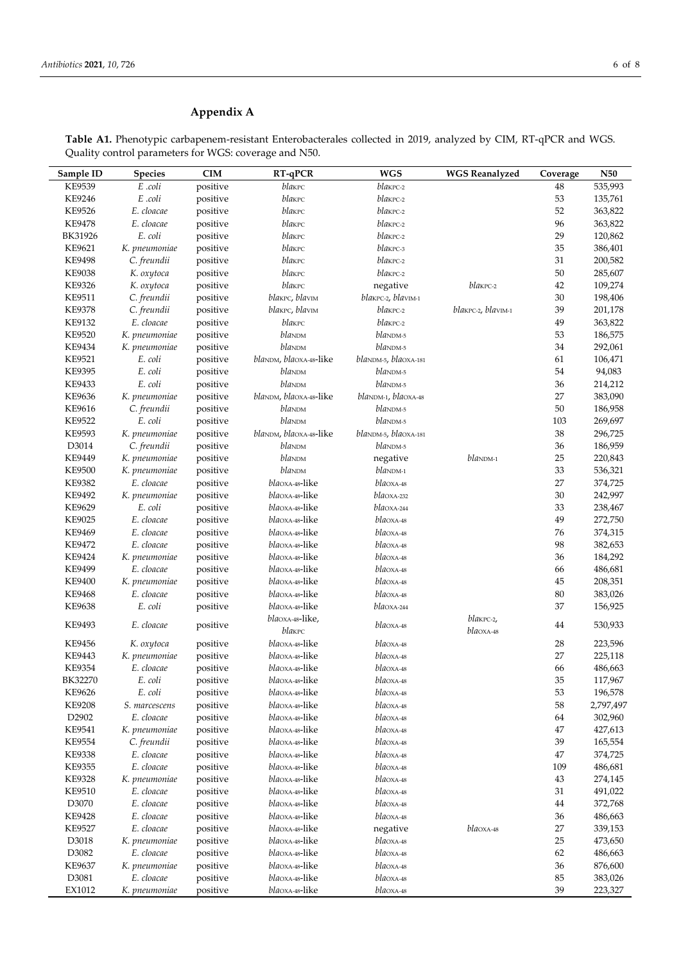# **Appendix A**

**Table A1.** Phenotypic carbapenem-resistant Enterobacterales collected in 2019, analyzed by CIM, RT-qPCR and WGS. Quality control parameters for WGS: coverage and N50.

| Sample ID         | <b>Species</b> | <b>CIM</b> | RT-qPCR                          | <b>WGS</b>                           | <b>WGS Reanalyzed</b> | Coverage | <b>N50</b> |
|-------------------|----------------|------------|----------------------------------|--------------------------------------|-----------------------|----------|------------|
| KE9539            | E .coli        | positive   | blakpc                           | blakPC-2                             |                       | 48       | 535,993    |
| KE9246            | E .coli        | positive   | blakpc                           | blakPC-2                             |                       | 53       | 135,761    |
| KE9526            | E. cloacae     | positive   | blakpc                           | blakpc-2                             |                       | 52       | 363,822    |
| <b>KE9478</b>     | E. cloacae     | positive   | blakpc                           | blakPC-2                             |                       | 96       | 363,822    |
| BK31926           | E. coli        | positive   | blakpc                           | blakPC-2                             |                       | 29       | 120,862    |
| KE9621            | K. pneumoniae  | positive   | blakpc                           | blakPC-3                             |                       | 35       | 386,401    |
| <b>KE9498</b>     | C. freundii    | positive   | blakpc                           | blakPC-2                             |                       | 31       | 200,582    |
| <b>KE9038</b>     | K. oxytoca     | positive   | blakpc                           | blakpc-2                             |                       | 50       | 285,607    |
| KE9326            | K. oxytoca     | positive   | blakpc                           | negative                             | $bl$ a $KPC-2$        | 42       | 109,274    |
| KE9511            | C. freundii    | positive   | blakPC, blavIM                   | blakPC-2, blavIM-1                   |                       | 30       | 198,406    |
|                   |                |            |                                  |                                      |                       |          |            |
| <b>KE9378</b>     | C. freundii    | positive   | blakPC, blavIM                   | blakPC-2                             | blakPC-2, blavIM-1    | 39       | 201,178    |
| KE9132            | E. cloacae     | positive   | blakpc                           | blakPC-2                             |                       | 49       | 363,822    |
| KE9520            | K. pneumoniae  | positive   | blandm                           | $bl$ andm-5                          |                       | 53       | 186,575    |
| KE9434            | K. pneumoniae  | positive   | blandm                           | blaNDM-5                             |                       | 34       | 292,061    |
| KE9521            | E. coli        | positive   | blaNDM, blaOXA-48-like           | blaNDM-5, blaOXA-181                 |                       | 61       | 106,471    |
| KE9395            | E. coli        | positive   | blandm                           | $blanDM-5$                           |                       | 54       | 94,083     |
| KE9433            | E. coli        | positive   | blandm                           | blaNDM-5                             |                       | 36       | 214,212    |
| KE9636            | K. pneumoniae  | positive   | blaNDM, blaOXA-48-like           | blaNDM-1, blaOXA-48                  |                       | 27       | 383,090    |
| KE9616            | C. freundii    | positive   | blanDM                           | blaNDM-5                             |                       | 50       | 186,958    |
| KE9522            | E. coli        | positive   | blandm                           | blaNDM-5                             |                       | 103      | 269,697    |
| KE9593            | K. pneumoniae  | positive   | blaNDM, blaOXA-48-like           | blaNDM-5, blaOXA-181                 |                       | 38       | 296,725    |
| D3014             | C. freundii    | positive   | blandm                           | $bla$ <sub>NDM-5</sub>               |                       | 36       | 186,959    |
| KE9449            | K. pneumoniae  | positive   | blandm                           | negative                             | $blanDM-1$            | 25       | 220,843    |
| <b>KE9500</b>     | K. pneumoniae  | positive   | blandm                           | $bla$ NDM-1                          |                       | 33       | 536,321    |
| KE9382            | E. cloacae     | positive   | bla0xA-48-like                   | bla0xA-48                            |                       | 27       | 374,725    |
| KE9492            | K. pneumoniae  | positive   | <i>bla</i> oxa-48-like           | blaOXA-232                           |                       | 30       | 242,997    |
| KE9629            | E. coli        | positive   | bla0xA-48-like                   | blaOXA-244                           |                       | 33       | 238,467    |
| KE9025            | E. cloacae     | positive   | bla0xA-48-like                   | $bla$ <sub>0</sub> $X$ <sub>48</sub> |                       | 49       | 272,750    |
| KE9469            | E. cloacae     | positive   | bla0xA-48-like                   | bla0xA-48                            |                       | 76       | 374,315    |
| <b>KE9472</b>     | E. cloacae     | positive   | bla0xA-48-like                   | blaoxA-48                            |                       | 98       | 382,653    |
| KE9424            | K. pneumoniae  | positive   | <i>bla</i> oxa-48-like           | blaoxA-48                            |                       | 36       | 184,292    |
| KE9499            | E. cloacae     | positive   | bla0xA-48-like                   | blaoxA-48                            |                       | 66       | 486,681    |
| KE9400            | K. pneumoniae  | positive   | bla0xA-48-like                   | blaoxA-48                            |                       | 45       | 208,351    |
| <b>KE9468</b>     | E. cloacae     | positive   | bla0xA-48-like                   | bla0xA-48                            |                       | 80       | 383,026    |
| KE9638            | E. coli        | positive   | $bla$ Oxa-48-like                | $bla$ <sub>244</sub>                 |                       | 37       | 156,925    |
|                   |                |            | bla0xA-48-like,                  |                                      | blakpc-2,             |          |            |
| KE9493            | E. cloacae     | positive   | blakPC                           | $bla$ <sub>0</sub> $X$ <sup>48</sup> | $bla$ OXA-48          | 44       | 530,933    |
|                   |                |            | bla0xA-48-like                   |                                      |                       |          |            |
| KE9456            | K. oxytoca     | positive   |                                  | $bla$ <sub>0</sub> $X$ <sup>48</sup> |                       | 28<br>27 | 223,596    |
| KE9443            | K. pneumoniae  | positive   | bla0xA-48-like<br>bla0xA-48-like | bla0xA-48                            |                       |          | 225,118    |
| KE9354            | E. cloacae     | positive   |                                  | $bla$ <sub>0</sub> $X$ <sub>48</sub> |                       | 66       | 486,663    |
| BK32270           | E. coli        | positive   | bla0xA-48-like                   | $bla$ <sub>0</sub> $X$ <sub>48</sub> |                       | 35       | 117,967    |
| KE9626            | E. coli        | positive   | blaoxa-48-like                   | $bla$ <sub>0</sub> $X$ <sub>48</sub> |                       | 53       | 196,578    |
| <b>KE9208</b>     | S. marcescens  | positive   | <i>bla</i> oxa-48-like           | $bla$ <sub>0</sub> $X$ <sup>48</sup> |                       | 58       | 2,797,497  |
| D <sub>2902</sub> | E. cloacae     | positive   | bla0xA-48-like                   | $bla$ <sub>0</sub> $X$ <sup>48</sup> |                       | 64       | 302,960    |
| KE9541            | K. pneumoniae  | positive   | bla0xA-48-like                   | blaoxA-48                            |                       | 47       | 427,613    |
| KE9554            | C. freundii    | positive   | <i>bla</i> oxa-48-like           | $bla$ <sub>0</sub> $X$ <sub>48</sub> |                       | 39       | 165,554    |
| KE9338            | E. cloacae     | positive   | bla0xA-48-like                   | bla0xA-48                            |                       | 47       | 374,725    |
| KE9355            | E. cloacae     | positive   | bla0xA-48-like                   | blaoxA-48                            |                       | 109      | 486,681    |
| KE9328            | K. pneumoniae  | positive   | bla0xA-48-like                   | $bla$ <sub>0</sub> $X$ <sup>48</sup> |                       | 43       | 274,145    |
| KE9510            | E. cloacae     | positive   | bla0xA-48-like                   | bla0xA-48                            |                       | 31       | 491,022    |
| D3070             | E. cloacae     | positive   | bla0xA-48-like                   | bla0xA-48                            |                       | 44       | 372,768    |
| KE9428            | E. cloacae     | positive   | bla0xA-48-like                   | bla0xA-48                            |                       | 36       | 486,663    |
| KE9527            | E. cloacae     | positive   | bla0xA-48-like                   | negative                             | $blaoxA-48$           | 27       | 339,153    |
| D3018             | K. pneumoniae  | positive   | bla0xA-48-like                   | $bla$ <sub>0</sub> $X$ <sub>48</sub> |                       | 25       | 473,650    |
| D3082             | E. cloacae     | positive   | bla0xA-48-like                   | bla0xA-48                            |                       | 62       | 486,663    |
| KE9637            | K. pneumoniae  | positive   | bla0xA-48-like                   | bla0xA-48                            |                       | 36       | 876,600    |
| D3081             | E. cloacae     | positive   | bla0xA-48-like                   | bla0xA-48                            |                       | 85       | 383,026    |
| EX1012            | K. pneumoniae  | positive   | bla0xA-48-like                   | $bla$ <sub>0</sub> $X$ <sub>48</sub> |                       | 39       | 223,327    |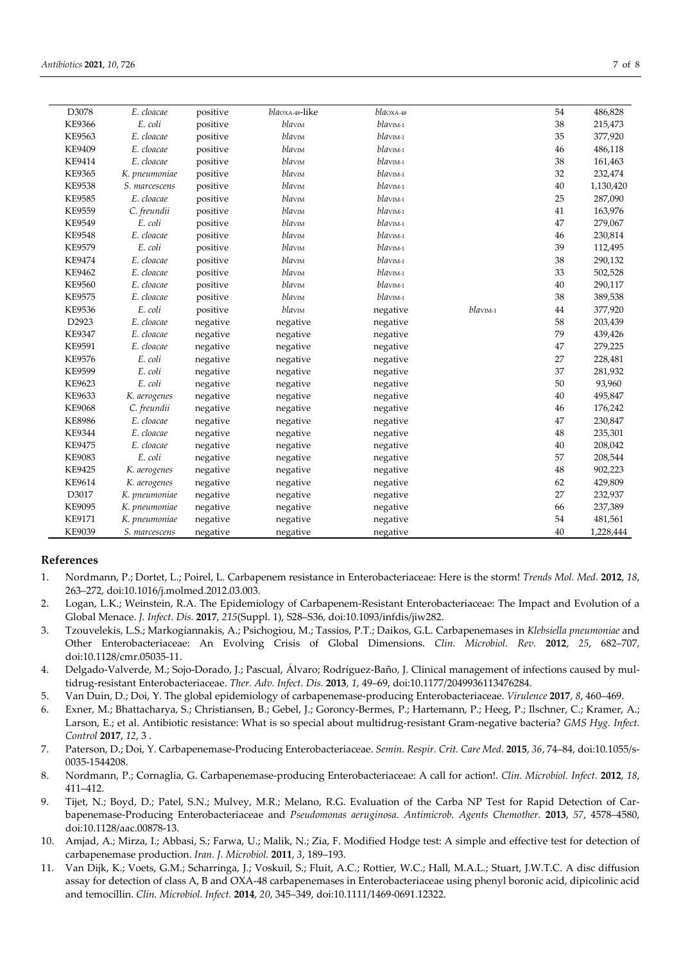| D3078         | E. cloacae    | positive | bla0xA-48-like | $bla$ <sub>0</sub> $X$ <sub>48</sub> |           | 54 | 486,828   |
|---------------|---------------|----------|----------------|--------------------------------------|-----------|----|-----------|
| <b>KE9366</b> | E. coli       | positive | blavim         | blav <sub>IM-1</sub>                 |           | 38 | 215,473   |
| <b>KE9563</b> | E. cloacae    | positive | blavim         | blav <sub>IM-1</sub>                 |           | 35 | 377,920   |
| KE9409        | E. cloacae    | positive | blavim         | blavIM-1                             |           | 46 | 486,118   |
| KE9414        | E. cloacae    | positive | blavim         | blavIM-1                             |           | 38 | 161,463   |
| <b>KE9365</b> | K. pneumoniae | positive | blavim         | blav <sub>IM-1</sub>                 |           | 32 | 232,474   |
| <b>KE9538</b> | S. marcescens | positive | blavim         | blavIM-1                             |           | 40 | 1,130,420 |
| <b>KE9585</b> | E. cloacae    | positive | blavim         | blav <sub>IM-1</sub>                 |           | 25 | 287,090   |
| KE9559        | C. freundii   | positive | blavim         | $blawm-1$                            |           | 41 | 163,976   |
| KE9549        | E. coli       | positive | blavim         | blav <sub>IM-1</sub>                 |           | 47 | 279,067   |
| <b>KE9548</b> | E. cloacae    | positive | blavim         | blavIM-1                             |           | 46 | 230,814   |
| KE9579        | E. coli       | positive | blavim         | blavIM-1                             |           | 39 | 112,495   |
| <b>KE9474</b> | E. cloacae    | positive | blavim         | blavIM-1                             |           | 38 | 290,132   |
| KE9462        | E. cloacae    | positive | blavim         | blav <sub>IM-1</sub>                 |           | 33 | 502,528   |
| KE9560        | E. cloacae    | positive | blavim         | blavIM-1                             |           | 40 | 290,117   |
| KE9575        | E. cloacae    | positive | blavim         | blavIM-1                             |           | 38 | 389,538   |
| KE9536        | E. coli       | positive | blavim         | negative                             | $blawm-1$ | 44 | 377,920   |
| D2923         | E. cloacae    | negative | negative       | negative                             |           | 58 | 203,439   |
| <b>KE9347</b> | E. cloacae    | negative | negative       | negative                             |           | 79 | 439,426   |
| KE9591        | E. cloacae    | negative | negative       | negative                             |           | 47 | 279,225   |
| KE9576        | E. coli       | negative | negative       | negative                             |           | 27 | 228,481   |
| KE9599        | E. coli       | negative | negative       | negative                             |           | 37 | 281,932   |
| KE9623        | E. coli       | negative | negative       | negative                             |           | 50 | 93,960    |
| KE9633        | K. aerogenes  | negative | negative       | negative                             |           | 40 | 495,847   |
| <b>KE9068</b> | C. freundii   | negative | negative       | negative                             |           | 46 | 176,242   |
| <b>KE8986</b> | E. cloacae    | negative | negative       | negative                             |           | 47 | 230,847   |
| KE9344        | E. cloacae    | negative | negative       | negative                             |           | 48 | 235,301   |
| <b>KE9475</b> | E. cloacae    | negative | negative       | negative                             |           | 40 | 208,042   |
| KE9083        | E. coli       | negative | negative       | negative                             |           | 57 | 208,544   |
| KE9425        | K. aerogenes  | negative | negative       | negative                             |           | 48 | 902,223   |
| KE9614        | K. aerogenes  | negative | negative       | negative                             |           | 62 | 429,809   |
| D3017         | K. pneumoniae | negative | negative       | negative                             |           | 27 | 232,937   |
| KE9095        | K. pneumoniae | negative | negative       | negative                             |           | 66 | 237,389   |
| KE9171        | K. pneumoniae | negative | negative       | negative                             |           | 54 | 481,561   |
| KE9039        | S. marcescens | negative | negative       | negative                             |           | 40 | 1,228,444 |

# **References**

- 1. Nordmann, P.; Dortet, L.; Poirel, L. Carbapenem resistance in Enterobacteriaceae: Here is the storm! *Trends Mol. Med.* **2012**, *18*, 263–272, doi:10.1016/j.molmed.2012.03.003.
- 2. Logan, L.K.; Weinstein, R.A. The Epidemiology of Carbapenem-Resistant Enterobacteriaceae: The Impact and Evolution of a Global Menace. *J. Infect. Dis.* **2017**, *215*(Suppl. 1), S28–S36, doi:10.1093/infdis/jiw282.
- 3. Tzouvelekis, L.S.; Markogiannakis, A.; Psichogiou, M.; Tassios, P.T.; Daikos, G.L. Carbapenemases in *Klebsiella pneumoniae* and Other Enterobacteriaceae: An Evolving Crisis of Global Dimensions. *Clin. Microbiol. Rev.* **2012**, *25*, 682–707, doi:10.1128/cmr.05035-11.
- 4. Delgado-Valverde, M.; Sojo-Dorado, J.; Pascual, Álvaro; Rodríguez-Baño, J. Clinical management of infections caused by multidrug-resistant Enterobacteriaceae. *Ther. Adv. Infect. Dis.* **2013**, *1*, 49–69, doi:10.1177/2049936113476284.
- 5. Van Duin, D.; Doi, Y. The global epidemiology of carbapenemase-producing Enterobacteriaceae. *Virulence* **2017**, *8*, 460–469.
- 6. Exner, M.; Bhattacharya, S.; Christiansen, B.; Gebel, J.; Goroncy-Bermes, P.; Hartemann, P.; Heeg, P.; Ilschner, C.; Kramer, A.; Larson, E.; et al. Antibiotic resistance: What is so special about multidrug-resistant Gram-negative bacteria? *GMS Hyg. Infect. Control* **2017**, *12*, 3 .
- 7. Paterson, D.; Doi, Y. Carbapenemase-Producing Enterobacteriaceae. *Semin. Respir. Crit. Care Med.* **2015**, *36*, 74–84, doi:10.1055/s-0035-1544208.
- 8. Nordmann, P.; Cornaglia, G. Carbapenemase-producing Enterobacteriaceae: A call for action!. *Clin. Microbiol. Infect.* **2012**, *18*, 411–412.
- 9. Tijet, N.; Boyd, D.; Patel, S.N.; Mulvey, M.R.; Melano, R.G. Evaluation of the Carba NP Test for Rapid Detection of Carbapenemase-Producing Enterobacteriaceae and *Pseudomonas aeruginosa*. *Antimicrob. Agents Chemother.* **2013**, *57*, 4578–4580, doi:10.1128/aac.00878-13.
- 10. Amjad, A.; Mirza, I.; Abbasi, S.; Farwa, U.; Malik, N.; Zia, F. Modified Hodge test: A simple and effective test for detection of carbapenemase production. *Iran. J. Microbiol.* **2011**, *3*, 189–193.
- 11. Van Dijk, K.; Voets, G.M.; Scharringa, J.; Voskuil, S.; Fluit, A.C.; Rottier, W.C.; Hall, M.A.L.; Stuart, J.W.T.C. A disc diffusion assay for detection of class A, B and OXA-48 carbapenemases in Enterobacteriaceae using phenyl boronic acid, dipicolinic acid and temocillin. *Clin. Microbiol. Infect.* **2014**, *20*, 345–349, doi:10.1111/1469-0691.12322.